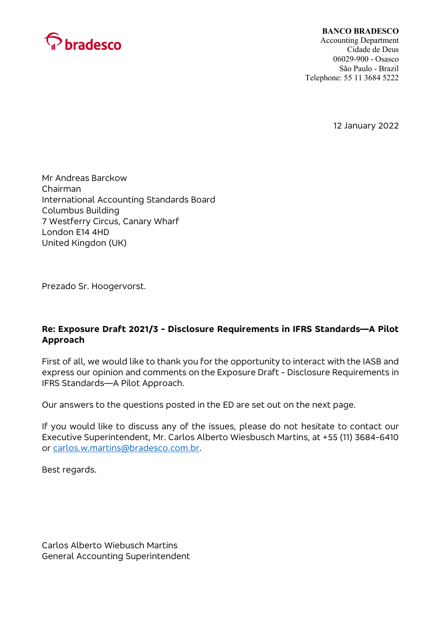

#### BANCO BRADESCO

Accounting Department Cidade de Deus 06029-900 - Osasco São Paulo - Brazil Telephone: 55 11 3684 5222

12 January 2022

Mr Andreas Barckow Chairman International Accounting Standards Board Columbus Building 7 Westferry Circus, Canary Wharf London E14 4HD United Kingdon (UK)

Prezado Sr. Hoogervorst.

# Re: Exposure Draft 2021/3 - Disclosure Requirements in IFRS Standards—A Pilot Approach

First of all, we would like to thank you for the opportunity to interact with the IASB and express our opinion and comments on the Exposure Draft - Disclosure Requirements in IFRS Standards—A Pilot Approach.

Our answers to the questions posted in the ED are set out on the next page.

If you would like to discuss any of the issues, please do not hesitate to contact our Executive Superintendent, Mr. Carlos Alberto Wiesbusch Martins, at +55 (11) 3684-6410 or carlos.w.martins@bradesco.com.br.

Best regards.

Carlos Alberto Wiebusch Martins General Accounting Superintendent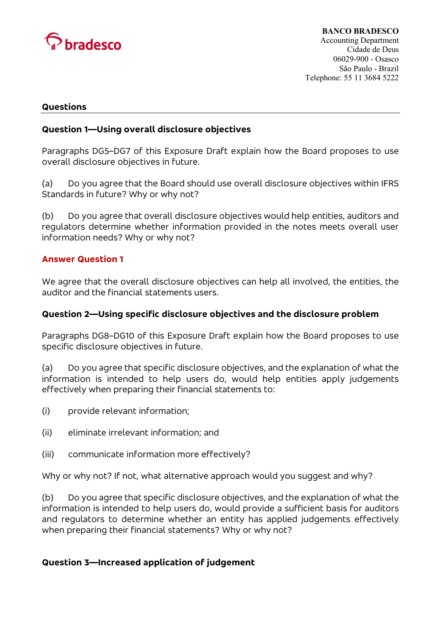

#### **Questions**

## Question 1—Using overall disclosure objectives

Paragraphs DG5–DG7 of this Exposure Draft explain how the Board proposes to use overall disclosure objectives in future.

(a) Do you agree that the Board should use overall disclosure objectives within IFRS Standards in future? Why or why not?

(b) Do you agree that overall disclosure objectives would help entities, auditors and regulators determine whether information provided in the notes meets overall user information needs? Why or why not?

### Answer Question 1

We agree that the overall disclosure objectives can help all involved, the entities, the auditor and the financial statements users.

## Question 2—Using specific disclosure objectives and the disclosure problem

Paragraphs DG8–DG10 of this Exposure Draft explain how the Board proposes to use specific disclosure objectives in future.

(a) Do you agree that specific disclosure objectives, and the explanation of what the information is intended to help users do, would help entities apply judgements effectively when preparing their financial statements to:

- (i) provide relevant information;
- (ii) eliminate irrelevant information; and
- (iii) communicate information more effectively?

Why or why not? If not, what alternative approach would you suggest and why?

(b) Do you agree that specific disclosure objectives, and the explanation of what the information is intended to help users do, would provide a sufficient basis for auditors and regulators to determine whether an entity has applied judgements effectively when preparing their financial statements? Why or why not?

#### Question 3—Increased application of judgement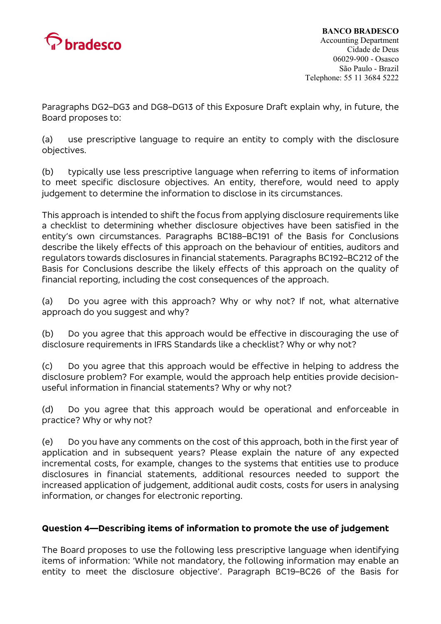

Paragraphs DG2–DG3 and DG8–DG13 of this Exposure Draft explain why, in future, the Board proposes to:

(a) use prescriptive language to require an entity to comply with the disclosure objectives.

(b) typically use less prescriptive language when referring to items of information to meet specific disclosure objectives. An entity, therefore, would need to apply judgement to determine the information to disclose in its circumstances.

This approach is intended to shift the focus from applying disclosure requirements like a checklist to determining whether disclosure objectives have been satisfied in the entity's own circumstances. Paragraphs BC188–BC191 of the Basis for Conclusions describe the likely effects of this approach on the behaviour of entities, auditors and regulators towards disclosures in financial statements. Paragraphs BC192–BC212 of the Basis for Conclusions describe the likely effects of this approach on the quality of financial reporting, including the cost consequences of the approach.

(a) Do you agree with this approach? Why or why not? If not, what alternative approach do you suggest and why?

(b) Do you agree that this approach would be effective in discouraging the use of disclosure requirements in IFRS Standards like a checklist? Why or why not?

(c) Do you agree that this approach would be effective in helping to address the disclosure problem? For example, would the approach help entities provide decisionuseful information in financial statements? Why or why not?

(d) Do you agree that this approach would be operational and enforceable in practice? Why or why not?

(e) Do you have any comments on the cost of this approach, both in the first year of application and in subsequent years? Please explain the nature of any expected incremental costs, for example, changes to the systems that entities use to produce disclosures in financial statements, additional resources needed to support the increased application of judgement, additional audit costs, costs for users in analysing information, or changes for electronic reporting.

# Question 4—Describing items of information to promote the use of judgement

The Board proposes to use the following less prescriptive language when identifying items of information: 'While not mandatory, the following information may enable an entity to meet the disclosure objective'. Paragraph BC19–BC26 of the Basis for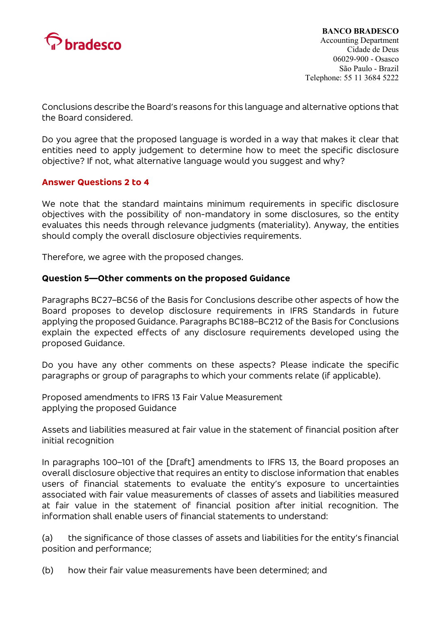

Conclusions describe the Board's reasons for this language and alternative options that the Board considered.

Do you agree that the proposed language is worded in a way that makes it clear that entities need to apply judgement to determine how to meet the specific disclosure objective? If not, what alternative language would you suggest and why?

## Answer Questions 2 to 4

We note that the standard maintains minimum requirements in specific disclosure objectives with the possibility of non-mandatory in some disclosures, so the entity evaluates this needs through relevance judgments (materiality). Anyway, the entities should comply the overall disclosure objectivies requirements.

Therefore, we agree with the proposed changes.

## Question 5—Other comments on the proposed Guidance

Paragraphs BC27–BC56 of the Basis for Conclusions describe other aspects of how the Board proposes to develop disclosure requirements in IFRS Standards in future applying the proposed Guidance. Paragraphs BC188–BC212 of the Basis for Conclusions explain the expected effects of any disclosure requirements developed using the proposed Guidance.

Do you have any other comments on these aspects? Please indicate the specific paragraphs or group of paragraphs to which your comments relate (if applicable).

Proposed amendments to IFRS 13 Fair Value Measurement applying the proposed Guidance

Assets and liabilities measured at fair value in the statement of financial position after initial recognition

In paragraphs 100–101 of the [Draft] amendments to IFRS 13, the Board proposes an overall disclosure objective that requires an entity to disclose information that enables users of financial statements to evaluate the entity's exposure to uncertainties associated with fair value measurements of classes of assets and liabilities measured at fair value in the statement of financial position after initial recognition. The information shall enable users of financial statements to understand:

(a) the significance of those classes of assets and liabilities for the entity's financial position and performance;

(b) how their fair value measurements have been determined; and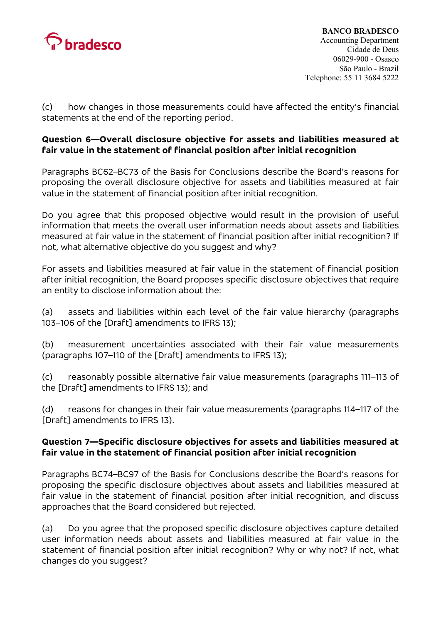

(c) how changes in those measurements could have affected the entity's financial statements at the end of the reporting period.

# Question 6—Overall disclosure objective for assets and liabilities measured at fair value in the statement of financial position after initial recognition

Paragraphs BC62–BC73 of the Basis for Conclusions describe the Board's reasons for proposing the overall disclosure objective for assets and liabilities measured at fair value in the statement of financial position after initial recognition.

Do you agree that this proposed objective would result in the provision of useful information that meets the overall user information needs about assets and liabilities measured at fair value in the statement of financial position after initial recognition? If not, what alternative objective do you suggest and why?

For assets and liabilities measured at fair value in the statement of financial position after initial recognition, the Board proposes specific disclosure objectives that require an entity to disclose information about the:

(a) assets and liabilities within each level of the fair value hierarchy (paragraphs 103–106 of the [Draft] amendments to IFRS 13);

(b) measurement uncertainties associated with their fair value measurements (paragraphs 107–110 of the [Draft] amendments to IFRS 13);

(c) reasonably possible alternative fair value measurements (paragraphs 111–113 of the [Draft] amendments to IFRS 13); and

(d) reasons for changes in their fair value measurements (paragraphs 114–117 of the [Draft] amendments to IFRS 13).

# Question 7—Specific disclosure objectives for assets and liabilities measured at fair value in the statement of financial position after initial recognition

Paragraphs BC74–BC97 of the Basis for Conclusions describe the Board's reasons for proposing the specific disclosure objectives about assets and liabilities measured at fair value in the statement of financial position after initial recognition, and discuss approaches that the Board considered but rejected.

(a) Do you agree that the proposed specific disclosure objectives capture detailed user information needs about assets and liabilities measured at fair value in the statement of financial position after initial recognition? Why or why not? If not, what changes do you suggest?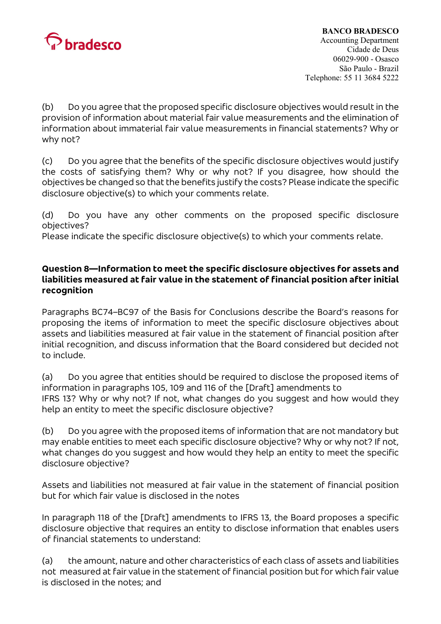

# BANCO BRADESCO

Accounting Department Cidade de Deus 06029-900 - Osasco São Paulo - Brazil Telephone: 55 11 3684 5222

(b) Do you agree that the proposed specific disclosure objectives would result in the provision of information about material fair value measurements and the elimination of information about immaterial fair value measurements in financial statements? Why or why not?

(c) Do you agree that the benefits of the specific disclosure objectives would justify the costs of satisfying them? Why or why not? If you disagree, how should the objectives be changed so that the benefits justify the costs? Please indicate the specific disclosure objective(s) to which your comments relate.

(d) Do you have any other comments on the proposed specific disclosure objectives?

Please indicate the specific disclosure objective(s) to which your comments relate.

# Question 8—Information to meet the specific disclosure objectives for assets and liabilities measured at fair value in the statement of financial position after initial recognition

Paragraphs BC74–BC97 of the Basis for Conclusions describe the Board's reasons for proposing the items of information to meet the specific disclosure objectives about assets and liabilities measured at fair value in the statement of financial position after initial recognition, and discuss information that the Board considered but decided not to include.

(a) Do you agree that entities should be required to disclose the proposed items of information in paragraphs 105, 109 and 116 of the [Draft] amendments to IFRS 13? Why or why not? If not, what changes do you suggest and how would they help an entity to meet the specific disclosure objective?

(b) Do you agree with the proposed items of information that are not mandatory but may enable entities to meet each specific disclosure objective? Why or why not? If not, what changes do you suggest and how would they help an entity to meet the specific disclosure objective?

Assets and liabilities not measured at fair value in the statement of financial position but for which fair value is disclosed in the notes

In paragraph 118 of the [Draft] amendments to IFRS 13, the Board proposes a specific disclosure objective that requires an entity to disclose information that enables users of financial statements to understand:

(a) the amount, nature and other characteristics of each class of assets and liabilities not measured at fair value in the statement of financial position but for which fair value is disclosed in the notes; and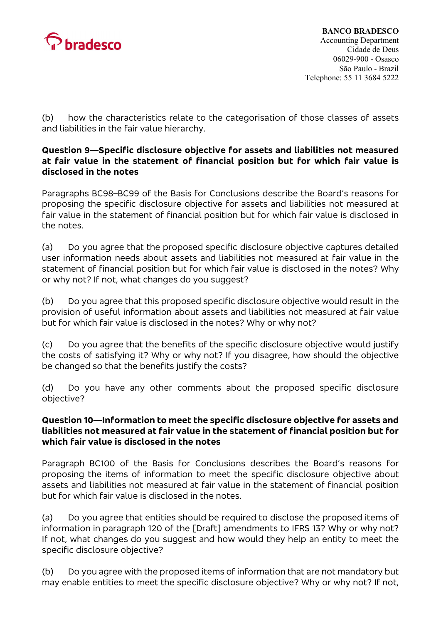

(b) how the characteristics relate to the categorisation of those classes of assets and liabilities in the fair value hierarchy.

# Question 9—Specific disclosure objective for assets and liabilities not measured at fair value in the statement of financial position but for which fair value is disclosed in the notes

Paragraphs BC98–BC99 of the Basis for Conclusions describe the Board's reasons for proposing the specific disclosure objective for assets and liabilities not measured at fair value in the statement of financial position but for which fair value is disclosed in the notes.

(a) Do you agree that the proposed specific disclosure objective captures detailed user information needs about assets and liabilities not measured at fair value in the statement of financial position but for which fair value is disclosed in the notes? Why or why not? If not, what changes do you suggest?

(b) Do you agree that this proposed specific disclosure objective would result in the provision of useful information about assets and liabilities not measured at fair value but for which fair value is disclosed in the notes? Why or why not?

(c) Do you agree that the benefits of the specific disclosure objective would justify the costs of satisfying it? Why or why not? If you disagree, how should the objective be changed so that the benefits justify the costs?

(d) Do you have any other comments about the proposed specific disclosure objective?

## Question 10—Information to meet the specific disclosure objective for assets and liabilities not measured at fair value in the statement of financial position but for which fair value is disclosed in the notes

Paragraph BC100 of the Basis for Conclusions describes the Board's reasons for proposing the items of information to meet the specific disclosure objective about assets and liabilities not measured at fair value in the statement of financial position but for which fair value is disclosed in the notes.

(a) Do you agree that entities should be required to disclose the proposed items of information in paragraph 120 of the [Draft] amendments to IFRS 13? Why or why not? If not, what changes do you suggest and how would they help an entity to meet the specific disclosure objective?

(b) Do you agree with the proposed items of information that are not mandatory but may enable entities to meet the specific disclosure objective? Why or why not? If not,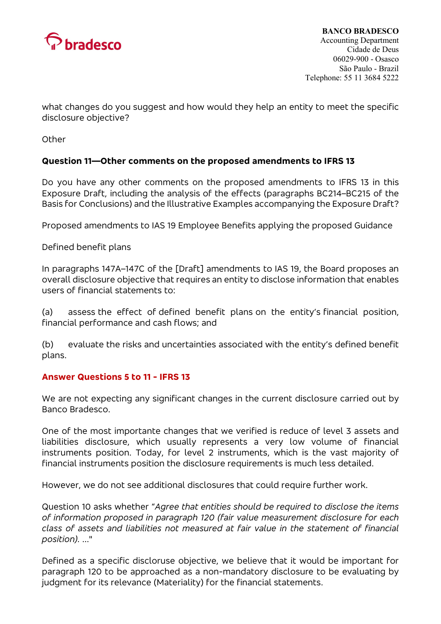

what changes do you suggest and how would they help an entity to meet the specific disclosure objective?

**Other** 

## Question 11—Other comments on the proposed amendments to IFRS 13

Do you have any other comments on the proposed amendments to IFRS 13 in this Exposure Draft, including the analysis of the effects (paragraphs BC214–BC215 of the Basis for Conclusions) and the Illustrative Examples accompanying the Exposure Draft?

Proposed amendments to IAS 19 Employee Benefits applying the proposed Guidance

Defined benefit plans

In paragraphs 147A–147C of the [Draft] amendments to IAS 19, the Board proposes an overall disclosure objective that requires an entity to disclose information that enables users of financial statements to:

(a) assess the effect of defined benefit plans on the entity's financial position, financial performance and cash flows; and

(b) evaluate the risks and uncertainties associated with the entity's defined benefit plans.

## Answer Questions 5 to 11 - IFRS 13

We are not expecting any significant changes in the current disclosure carried out by Banco Bradesco.

One of the most importante changes that we verified is reduce of level 3 assets and liabilities disclosure, which usually represents a very low volume of financial instruments position. Today, for level 2 instruments, which is the vast majority of financial instruments position the disclosure requirements is much less detailed.

However, we do not see additional disclosures that could require further work.

Question 10 asks whether "Agree that entities should be required to disclose the items of information proposed in paragraph 120 (fair value measurement disclosure for each class of assets and liabilities not measured at fair value in the statement of financial position). ..."

Defined as a specific discloruse objective, we believe that it would be important for paragraph 120 to be approached as a non-mandatory disclosure to be evaluating by judgment for its relevance (Materiality) for the financial statements.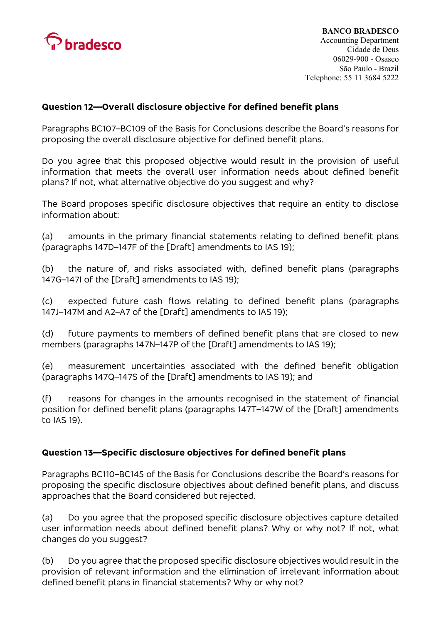

# Question 12—Overall disclosure objective for defined benefit plans

Paragraphs BC107–BC109 of the Basis for Conclusions describe the Board's reasons for proposing the overall disclosure objective for defined benefit plans.

Do you agree that this proposed objective would result in the provision of useful information that meets the overall user information needs about defined benefit plans? If not, what alternative objective do you suggest and why?

The Board proposes specific disclosure objectives that require an entity to disclose information about:

(a) amounts in the primary financial statements relating to defined benefit plans (paragraphs 147D–147F of the [Draft] amendments to IAS 19);

(b) the nature of, and risks associated with, defined benefit plans (paragraphs 147G–147I of the [Draft] amendments to IAS 19);

(c) expected future cash flows relating to defined benefit plans (paragraphs 147J–147M and A2–A7 of the [Draft] amendments to IAS 19);

(d) future payments to members of defined benefit plans that are closed to new members (paragraphs 147N–147P of the [Draft] amendments to IAS 19);

(e) measurement uncertainties associated with the defined benefit obligation (paragraphs 147Q–147S of the [Draft] amendments to IAS 19); and

(f) reasons for changes in the amounts recognised in the statement of financial position for defined benefit plans (paragraphs 147T–147W of the [Draft] amendments to IAS 19).

## Question 13—Specific disclosure objectives for defined benefit plans

Paragraphs BC110–BC145 of the Basis for Conclusions describe the Board's reasons for proposing the specific disclosure objectives about defined benefit plans, and discuss approaches that the Board considered but rejected.

(a) Do you agree that the proposed specific disclosure objectives capture detailed user information needs about defined benefit plans? Why or why not? If not, what changes do you suggest?

(b) Do you agree that the proposed specific disclosure objectives would result in the provision of relevant information and the elimination of irrelevant information about defined benefit plans in financial statements? Why or why not?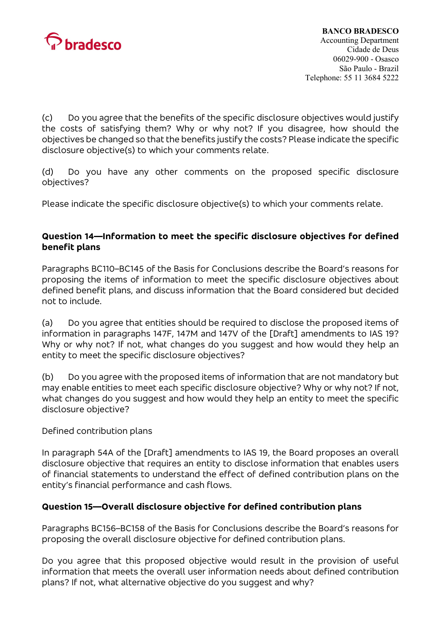

(c) Do you agree that the benefits of the specific disclosure objectives would justify the costs of satisfying them? Why or why not? If you disagree, how should the objectives be changed so that the benefits justify the costs? Please indicate the specific disclosure objective(s) to which your comments relate.

(d) Do you have any other comments on the proposed specific disclosure objectives?

Please indicate the specific disclosure objective(s) to which your comments relate.

# Question 14—Information to meet the specific disclosure objectives for defined benefit plans

Paragraphs BC110–BC145 of the Basis for Conclusions describe the Board's reasons for proposing the items of information to meet the specific disclosure objectives about defined benefit plans, and discuss information that the Board considered but decided not to include.

(a) Do you agree that entities should be required to disclose the proposed items of information in paragraphs 147F, 147M and 147V of the [Draft] amendments to IAS 19? Why or why not? If not, what changes do you suggest and how would they help an entity to meet the specific disclosure objectives?

(b) Do you agree with the proposed items of information that are not mandatory but may enable entities to meet each specific disclosure objective? Why or why not? If not, what changes do you suggest and how would they help an entity to meet the specific disclosure objective?

## Defined contribution plans

In paragraph 54A of the [Draft] amendments to IAS 19, the Board proposes an overall disclosure objective that requires an entity to disclose information that enables users of financial statements to understand the effect of defined contribution plans on the entity's financial performance and cash flows.

# Question 15—Overall disclosure objective for defined contribution plans

Paragraphs BC156–BC158 of the Basis for Conclusions describe the Board's reasons for proposing the overall disclosure objective for defined contribution plans.

Do you agree that this proposed objective would result in the provision of useful information that meets the overall user information needs about defined contribution plans? If not, what alternative objective do you suggest and why?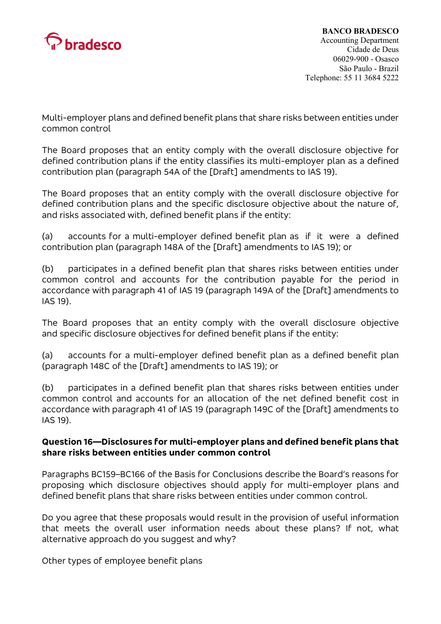

Multi-employer plans and defined benefit plans that share risks between entities under common control

The Board proposes that an entity comply with the overall disclosure objective for defined contribution plans if the entity classifies its multi-employer plan as a defined contribution plan (paragraph 54A of the [Draft] amendments to IAS 19).

The Board proposes that an entity comply with the overall disclosure objective for defined contribution plans and the specific disclosure objective about the nature of, and risks associated with, defined benefit plans if the entity:

(a) accounts for a multi-employer defined benefit plan as if it were a defined contribution plan (paragraph 148A of the [Draft] amendments to IAS 19); or

(b) participates in a defined benefit plan that shares risks between entities under common control and accounts for the contribution payable for the period in accordance with paragraph 41 of IAS 19 (paragraph 149A of the [Draft] amendments to IAS 19).

The Board proposes that an entity comply with the overall disclosure objective and specific disclosure objectives for defined benefit plans if the entity:

(a) accounts for a multi-employer defined benefit plan as a defined benefit plan (paragraph 148C of the [Draft] amendments to IAS 19); or

(b) participates in a defined benefit plan that shares risks between entities under common control and accounts for an allocation of the net defined benefit cost in accordance with paragraph 41 of IAS 19 (paragraph 149C of the [Draft] amendments to IAS 19).

## Question 16—Disclosures for multi-employer plans and defined benefit plans that share risks between entities under common control

Paragraphs BC159–BC166 of the Basis for Conclusions describe the Board's reasons for proposing which disclosure objectives should apply for multi-employer plans and defined benefit plans that share risks between entities under common control.

Do you agree that these proposals would result in the provision of useful information that meets the overall user information needs about these plans? If not, what alternative approach do you suggest and why?

Other types of employee benefit plans